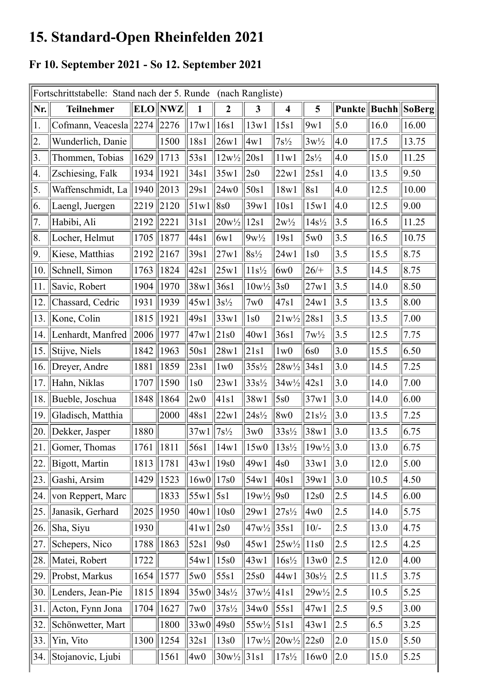## 15. Standard-Open Rheinfelden 2021

## Fr 10. September 2021 - So 12. September 2021

| Fortschrittstabelle: Stand nach der 5. Runde (nach Rangliste) |                          |            |            |               |                                 |                                 |                                                  |                       |        |              |        |
|---------------------------------------------------------------|--------------------------|------------|------------|---------------|---------------------------------|---------------------------------|--------------------------------------------------|-----------------------|--------|--------------|--------|
| Nr.                                                           | <b>Teilnehmer</b>        | <b>ELO</b> | <b>NWZ</b> | 1             | $\overline{2}$                  | $\overline{\mathbf{3}}$         | $\overline{\mathbf{4}}$                          | 5                     | Punkte | <b>Buchh</b> | SoBerg |
| 1.                                                            | Cofmann, Veacesla   2274 |            | 2276       | 17w1          | 16s1                            | 13w1                            | 15s1                                             | 9w1                   | 5.0    | 16.0         | 16.00  |
| 2.                                                            | Wunderlich, Danie        |            | 1500       | 18s1          | 26w1                            | 4w1                             | $7s^{1/2}$                                       | $3w\frac{1}{2}$       | 4.0    | 17.5         | 13.75  |
| 3.                                                            | Thommen, Tobias          | 1629       | 1713       | 53s1          | $12w\frac{1}{2}$                | 20s1                            | 11w1                                             | $2s^{1/2}$            | 4.0    | 15.0         | 11.25  |
| 4.                                                            | Zschiesing, Falk         | 1934       | 1921       | 34s1          | 35w1                            | $\sqrt{2s0}$                    | 22w1                                             | 25s1                  | 4.0    | 13.5         | 9.50   |
| 5.                                                            | Waffenschmidt, La        | 1940       | 2013       | 29s1          | 24w0                            | 50s1                            | 18w1                                             | 8s1                   | 4.0    | 12.5         | 10.00  |
| 6.                                                            | Laengl, Juergen          | 2219       | 2120       | 51w1          | 8s0                             | 39w1                            | 10s1                                             | 15w1                  | 4.0    | 12.5         | 9.00   |
| 7.                                                            | Habibi, Ali              | 2192       | 2221       | 31s1          | $20w^{1/2}$                     | 12s1                            | $2w\frac{1}{2}$                                  | $14s\frac{1}{2}$      | 3.5    | 16.5         | 11.25  |
| 8.                                                            | Locher, Helmut           | 1705       | 1877       | 44s1          | 6w1                             | $9w^{1/2}$                      | 19s1                                             | 5w0                   | 3.5    | 16.5         | 10.75  |
| 9.                                                            | Kiese, Matthias          | 2192       | 2167       | 39s1          | 27w1                            | $8s^{1/2}$                      | 24w1                                             | 1s0                   | 3.5    | 15.5         | 8.75   |
| 10.                                                           | Schnell, Simon           | 1763       | 1824       | 42s1          | 25w1                            | $11s\frac{1}{2}$                | 6w0                                              | $26/+$                | 3.5    | 14.5         | 8.75   |
| 11.                                                           | Savic, Robert            | 1904       | 1970       | 38w1          | 36s1                            | $10\mathrm{w\%}$                | 3s0                                              | 27w1                  | 3.5    | 14.0         | 8.50   |
| 12.                                                           | Chassard, Cedric         | 1931       | 1939       | 45w1          | $3s\frac{1}{2}$                 | 7w0                             | 47s1                                             | 24w1                  | 3.5    | 13.5         | 8.00   |
| 13.                                                           | Kone, Colin              | 1815       | 1921       | 49s1          | 33w1                            | 1s0                             | $21w^{1/2}$                                      | 28s1                  | 3.5    | 13.5         | 7.00   |
| 14.                                                           | Lenhardt, Manfred        | 2006       | 1977       | 47w1          | 21s0                            | 40w1                            | 36s1                                             | $7w\frac{1}{2}$       | 3.5    | 12.5         | 7.75   |
| 15.                                                           | Stijve, Niels            | 1842       | 1963       | 50s1          | 28w1                            | 21s1                            | 1w0                                              | 6s0                   | 3.0    | 15.5         | 6.50   |
| 16.                                                           | Dreyer, Andre            | 1881       | 1859       | 23s1          | 1w0                             | $35s\frac{1}{2}$                | $28w\frac{1}{2}$                                 | 34s1                  | 3.0    | 14.5         | 7.25   |
| 17.                                                           | Hahn, Niklas             | 1707       | 1590       | 1s0           | 23w1                            | $33s\frac{1}{2}$                | $34w\frac{1}{2}$                                 | 42s1                  | 3.0    | 14.0         | 7.00   |
| 18.                                                           | Bueble, Joschua          | 1848       | 1864       | 2w0           | 41s1                            | 38w1                            | 5s0                                              | 37w1                  | 3.0    | 14.0         | 6.00   |
| 19.                                                           | Gladisch, Matthia        |            | 2000       | 48s1          | 22w1                            | 24s <sup>1</sup> / <sub>2</sub> | 8w0                                              | $21s\frac{1}{2}$      | 3.0    | 13.5         | 7.25   |
| 20.                                                           | Dekker, Jasper           | 1880       |            | 37w1          | $7s\frac{1}{2}$                 | 3w0                             | $33s\frac{1}{2}$                                 | 38w1                  | 3.0    | 13.5         | 6.75   |
| 21.                                                           | Gomer, Thomas            | 1761       | 1811       | 56s1          | 14w1                            | 15w0                            | $13s\frac{1}{2}$                                 | $19w\frac{1}{2}$  3.0 |        | 13.0         | 6.75   |
| 22.                                                           | Bigott, Martin           | 1813       | 1781       | 43w1  19s0    |                                 | 49w1                            | 4s0                                              | 33w1                  | 3.0    | 12.0         | 5.00   |
| 23.                                                           | Gashi, Arsim             | 1429       | 1523       | $16w0$   17s0 |                                 | 54w1                            | 40s1                                             | 39w1                  | 3.0    | 10.5         | 4.50   |
| 24.                                                           | von Reppert, Marc        |            | 1833       | 55w1   5s1    |                                 | $19w\frac{1}{2}$  9s0           |                                                  | 12s0                  | 2.5    | 14.5         | 6.00   |
| 25.                                                           | Janasik, Gerhard         | 2025       | 1950       | 40w1  10s0    |                                 | 29w1                            | $27s^{1/2}$                                      | 4w0                   | 2.5    | 14.0         | 5.75   |
| 26.                                                           | Sha, Siyu                | 1930       |            | 41w1          | $\vert 2s0 \vert$               | $47w\frac{1}{2}$                | 35s1                                             | $10/-$                | 2.5    | 13.0         | 4.75   |
| 27.                                                           | Schepers, Nico           | 1788       | 1863       | 52s1          | 9s0                             | 45w1                            | $25w^{1/2}$                                      | 11s0                  | 2.5    | 12.5         | 4.25   |
| 28.                                                           | Matei, Robert            | 1722       |            | 54w1          | 15s0                            | 43w1                            | $16s\frac{1}{2}$                                 | 13w0                  | 2.5    | 12.0         | 4.00   |
| 29.                                                           | Probst, Markus           | 1654       | 1577       | 5w0           | 55s1                            | 25s0                            | 44w1                                             | $30s\frac{1}{2}$      | 2.5    | 11.5         | 3.75   |
| 30.                                                           | Lenders, Jean-Pie        | 1815       | 1894       | 35w0          | 34s <sup>1</sup> / <sub>2</sub> | 37w/2                           | 41s1                                             | $29w^{1/2}$           | 2.5    | 10.5         | 5.25   |
| 31.                                                           | Acton, Fynn Jona         | 1704       | 1627       | 7w0           | $37s\frac{1}{2}$                | 34w0                            | 55s1                                             | 47w1                  | 2.5    | 9.5          | 3.00   |
| 32.                                                           | Schönwetter, Mart        |            | 1800       | $ 33w0 $ 49s0 |                                 | $55w\frac{1}{2}$ 51s1           |                                                  | 43w1                  | 2.5    | 6.5          | 3.25   |
| 33.                                                           | Yin, Vito                | 1300       | 1254       | 32s1          | 13s0                            |                                 | $17w\frac{1}{2}$ 20w <sup>1</sup> / <sub>2</sub> | $\vert 22s0 \vert$    | 2.0    | 15.0         | 5.50   |
| 34.                                                           | Stojanovic, Ljubi        |            | 1561       | 4w0           | $ 30w\frac{1}{2} $              | 31s1                            | $17s\frac{1}{2}$                                 | 16w0                  | 2.0    | 15.0         | 5.25   |